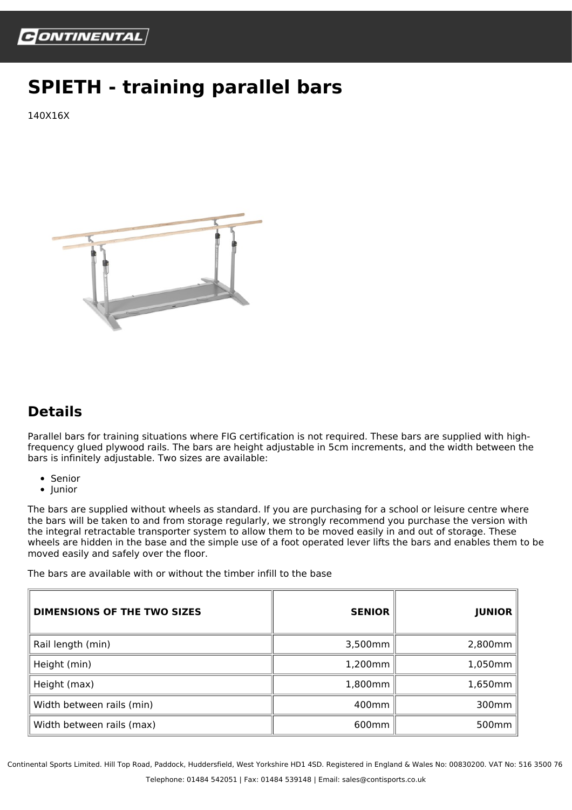

## **SPIETH - training parallel bars**

140X16X



## **Details**

Parallel bars for training situations where FIG certification is not required. These bars are supplied with highfrequency glued plywood rails. The bars are height adjustable in 5cm increments, and the width between the bars is infinitely adjustable. Two sizes are available:

- Senior
- $\bullet$  Junior

The bars are supplied without wheels as standard. If you are purchasing for a school or leisure centre where the bars will be taken to and from storage regularly, we strongly recommend you purchase the version with the integral retractable transporter system to allow them to be moved easily in and out of storage. These wheels are hidden in the base and the simple use of a foot operated lever lifts the bars and enables them to be moved easily and safely over the floor.

The bars are available with or without the timber infill to the base

| <b>DIMENSIONS OF THE TWO SIZES</b> | <b>SENIOR</b>     | <b>JUNIOR</b>     |
|------------------------------------|-------------------|-------------------|
| Rail length (min)                  | 3,500mm           | 2,800mm           |
| Height (min)                       | 1,200mm           | 1,050mm           |
| Height (max)                       | 1,800mm           | 1,650mm           |
| Width between rails (min)          | 400mm             | 300mm             |
| Width between rails (max)          | 600 <sub>mm</sub> | 500 <sub>mm</sub> |

Continental Sports Limited. Hill Top Road, Paddock, Huddersfield, West Yorkshire HD1 4SD. Registered in England & Wales No: 00830200. VAT No: 516 3500 76